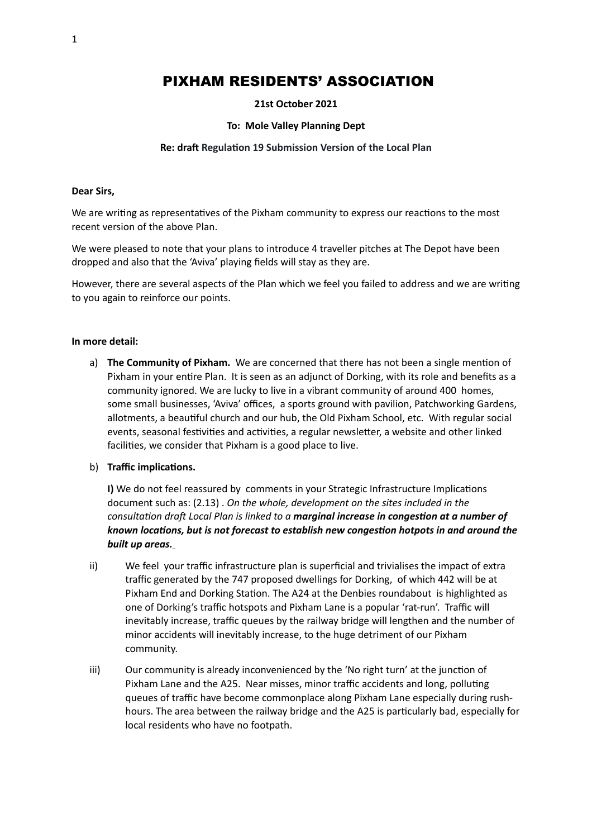# PIXHAM RESIDENTS' ASSOCIATION

# **21st October 2021**

# **To: Mole Valley Planning Dept**

# **Re: draft Regulation 19 Submission Version of the Local Plan**

#### **Dear Sirs,**

We are writing as representatives of the Pixham community to express our reactions to the most recent version of the above Plan.

We were pleased to note that your plans to introduce 4 traveller pitches at The Depot have been dropped and also that the 'Aviva' playing fields will stay as they are.

However, there are several aspects of the Plan which we feel you failed to address and we are writing to you again to reinforce our points.

#### **In more detail:**

a) **The Community of Pixham.** We are concerned that there has not been a single mention of Pixham in your entire Plan. It is seen as an adjunct of Dorking, with its role and benefits as a community ignored. We are lucky to live in a vibrant community of around 400 homes, some small businesses, 'Aviva' offices, a sports ground with pavilion, Patchworking Gardens, allotments, a beautiful church and our hub, the Old Pixham School, etc. With regular social events, seasonal festivities and activities, a regular newsletter, a website and other linked facilities, we consider that Pixham is a good place to live.

#### b) **Traffic implications.**

**I)** We do not feel reassured by comments in your Strategic Infrastructure Implications document such as: (2.13) . *On the whole, development on the sites included in the consultation draft Local Plan is linked to a marginal increase in congestion at a number of known locations, but is not forecast to establish new congestion hotpots in and around the built up areas.*

- ii) We feel your traffic infrastructure plan is superficial and trivialises the impact of extra traffic generated by the 747 proposed dwellings for Dorking, of which 442 will be at Pixham End and Dorking Station. The A24 at the Denbies roundabout is highlighted as one of Dorking's traffic hotspots and Pixham Lane is a popular 'rat-run'. Traffic will inevitably increase, traffic queues by the railway bridge will lengthen and the number of minor accidents will inevitably increase, to the huge detriment of our Pixham community.
- iii) Our community is already inconvenienced by the 'No right turn' at the junction of Pixham Lane and the A25. Near misses, minor traffic accidents and long, polluting queues of traffic have become commonplace along Pixham Lane especially during rushhours. The area between the railway bridge and the A25 is particularly bad, especially for local residents who have no footpath.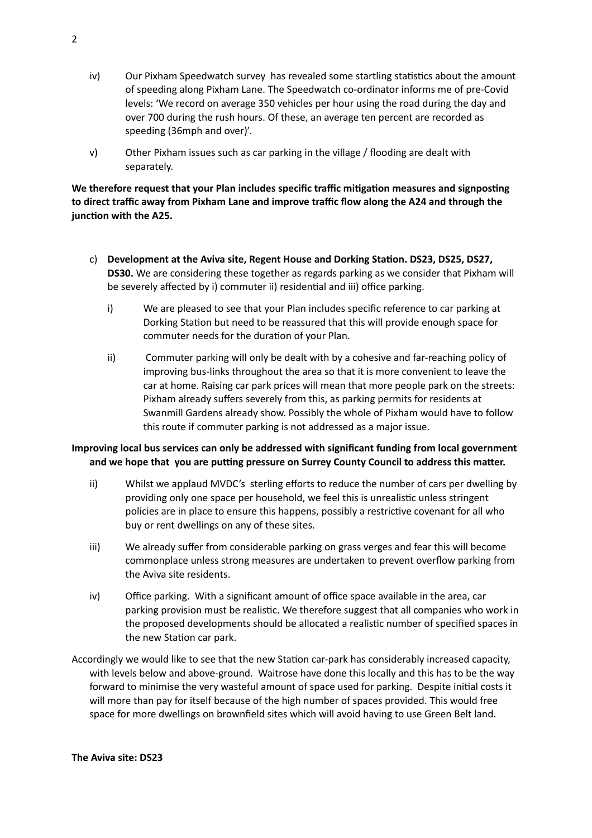- iv) Our Pixham Speedwatch survey has revealed some startling statistics about the amount of speeding along Pixham Lane. The Speedwatch co-ordinator informs me of pre-Covid levels: 'We record on average 350 vehicles per hour using the road during the day and over 700 during the rush hours. Of these, an average ten percent are recorded as speeding (36mph and over)'.
- v) Other Pixham issues such as car parking in the village / flooding are dealt with separately.

**We therefore request that your Plan includes specific traffic mitigation measures and signposting to direct traffic away from Pixham Lane and improve traffic flow along the A24 and through the junction with the A25.**

- c) **Development at the Aviva site, Regent House and Dorking Station. DS23, DS25, DS27, DS30.** We are considering these together as regards parking as we consider that Pixham will be severely affected by i) commuter ii) residential and iii) office parking.
	- i) We are pleased to see that your Plan includes specific reference to car parking at Dorking Station but need to be reassured that this will provide enough space for commuter needs for the duration of your Plan.
	- ii) Commuter parking will only be dealt with by a cohesive and far-reaching policy of improving bus-links throughout the area so that it is more convenient to leave the car at home. Raising car park prices will mean that more people park on the streets: Pixham already suffers severely from this, as parking permits for residents at Swanmill Gardens already show. Possibly the whole of Pixham would have to follow this route if commuter parking is not addressed as a major issue.

# **Improving local bus services can only be addressed with significant funding from local government and we hope that you are putting pressure on Surrey County Council to address this matter.**

- ii) Whilst we applaud MVDC's sterling efforts to reduce the number of cars per dwelling by providing only one space per household, we feel this is unrealistic unless stringent policies are in place to ensure this happens, possibly a restrictive covenant for all who buy or rent dwellings on any of these sites.
- iii) We already suffer from considerable parking on grass verges and fear this will become commonplace unless strong measures are undertaken to prevent overflow parking from the Aviva site residents.
- iv) Office parking. With a significant amount of office space available in the area, car parking provision must be realistic. We therefore suggest that all companies who work in the proposed developments should be allocated a realistic number of specified spaces in the new Station car park.
- Accordingly we would like to see that the new Station car-park has considerably increased capacity, with levels below and above-ground. Waitrose have done this locally and this has to be the way forward to minimise the very wasteful amount of space used for parking. Despite initial costs it will more than pay for itself because of the high number of spaces provided. This would free space for more dwellings on brownfield sites which will avoid having to use Green Belt land.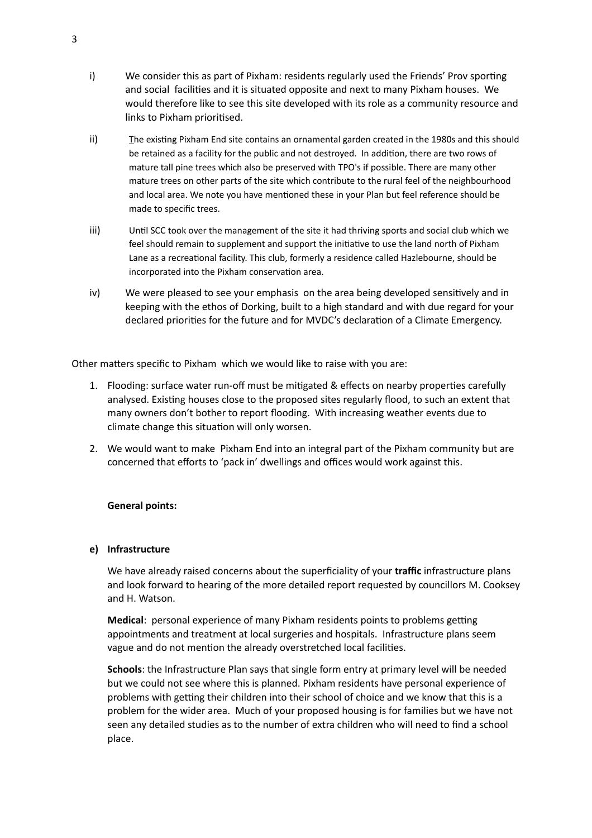- i) We consider this as part of Pixham: residents regularly used the Friends' Prov sporting and social facilities and it is situated opposite and next to many Pixham houses. We would therefore like to see this site developed with its role as a community resource and links to Pixham prioritised.
- ii) The existing Pixham End site contains an ornamental garden created in the 1980s and this should be retained as a facility for the public and not destroyed. In addition, there are two rows of mature tall pine trees which also be preserved with TPO's if possible. There are many other mature trees on other parts of the site which contribute to the rural feel of the neighbourhood and local area. We note you have mentioned these in your Plan but feel reference should be made to specific trees.
- iii) Until SCC took over the management of the site it had thriving sports and social club which we feel should remain to supplement and support the initiative to use the land north of Pixham Lane as a recreational facility. This club, formerly a residence called Hazlebourne, should be incorporated into the Pixham conservation area.
- iv) We were pleased to see your emphasis on the area being developed sensitively and in keeping with the ethos of Dorking, built to a high standard and with due regard for your declared priorities for the future and for MVDC's declaration of a Climate Emergency.

Other matters specific to Pixham which we would like to raise with you are:

- 1. Flooding: surface water run-off must be mitigated & effects on nearby properties carefully analysed. Existing houses close to the proposed sites regularly flood, to such an extent that many owners don't bother to report flooding. With increasing weather events due to climate change this situation will only worsen.
- 2. We would want to make Pixham End into an integral part of the Pixham community but are concerned that efforts to 'pack in' dwellings and offices would work against this.

# **General points:**

# **e) Infrastructure**

We have already raised concerns about the superficiality of your **traffic** infrastructure plans and look forward to hearing of the more detailed report requested by councillors M. Cooksey and H. Watson.

**Medical**: personal experience of many Pixham residents points to problems getting appointments and treatment at local surgeries and hospitals. Infrastructure plans seem vague and do not mention the already overstretched local facilities.

**Schools**: the Infrastructure Plan says that single form entry at primary level will be needed but we could not see where this is planned. Pixham residents have personal experience of problems with getting their children into their school of choice and we know that this is a problem for the wider area. Much of your proposed housing is for families but we have not seen any detailed studies as to the number of extra children who will need to find a school place.